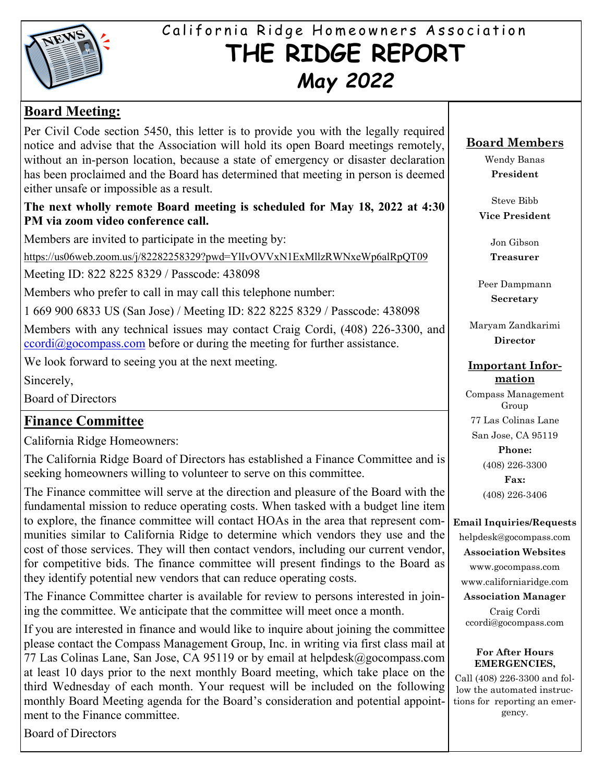

# California Ridge Homeowners Association **THE RIDGE REPORT** *May 2022*

## **Board Meeting:**

Per Civil Code section 5450, this letter is to provide you with the legally required notice and advise that the Association will hold its open Board meetings remotely, without an in-person location, because a state of emergency or disaster declaration has been proclaimed and the Board has determined that meeting in person is deemed either unsafe or impossible as a result.

#### **The next wholly remote Board meeting is scheduled for May 18, 2022 at 4:30 PM via zoom video conference call.**

Members are invited to participate in the meeting by:

https://us06web.zoom.us/j/82282258329?pwd=YlIvOVVxN1ExMllzRWNxeWp6alRpQT09

Meeting ID: 822 8225 8329 / Passcode: 438098

Members who prefer to call in may call this telephone number:

1 669 900 6833 US (San Jose) / Meeting ID: 822 8225 8329 / Passcode: 438098

Members with any technical issues may contact Craig Cordi, (408) 226-3300, and  $ccordi@geocompass.com$  before or during the meeting for further assistance.

We look forward to seeing you at the next meeting.

Sincerely,

Board of Directors

## **Finance Committee**

California Ridge Homeowners:

The California Ridge Board of Directors has established a Finance Committee and is seeking homeowners willing to volunteer to serve on this committee.

The Finance committee will serve at the direction and pleasure of the Board with the fundamental mission to reduce operating costs. When tasked with a budget line item to explore, the finance committee will contact HOAs in the area that represent communities similar to California Ridge to determine which vendors they use and the cost of those services. They will then contact vendors, including our current vendor, for competitive bids. The finance committee will present findings to the Board as they identify potential new vendors that can reduce operating costs.

The Finance Committee charter is available for review to persons interested in joining the committee. We anticipate that the committee will meet once a month.

If you are interested in finance and would like to inquire about joining the committee please contact the Compass Management Group, Inc. in writing via first class mail at 77 Las Colinas Lane, San Jose, CA 95119 or by email at helpdesk@gocompass.com at least 10 days prior to the next monthly Board meeting, which take place on the third Wednesday of each month. Your request will be included on the following monthly Board Meeting agenda for the Board's consideration and potential appointment to the Finance committee.

Board of Directors

## **Board Members**

Wendy Banas **President**

Steve Bibb **Vice President**

Jon Gibson

**Treasurer**

Peer Dampmann **Secretary**

Maryam Zandkarimi **Director**

#### **Important Information**

Compass Management Group 77 Las Colinas Lane San Jose, CA 95119 **Phone:** (408) 226-3300 **Fax:**

(408) 226-3406

#### **Email Inquiries/Requests**

helpdesk@gocompass.com **Association Websites** www.gocompass.com

www.californiaridge.com

**Association Manager**

Craig Cordi ccordi@gocompass.com

#### **For After Hours EMERGENCIES,**

Call (408) 226-3300 and follow the automated instructions for reporting an emergency.